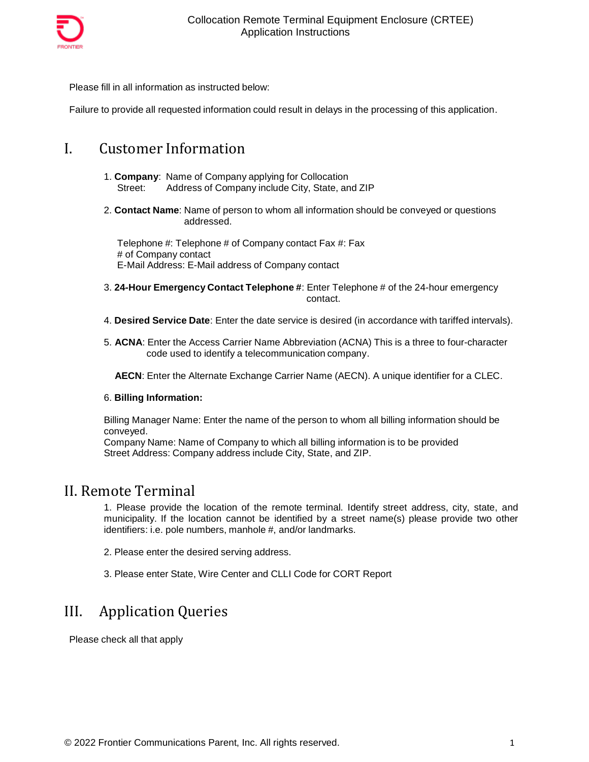

Please fill in all information as instructed below:

Failure to provide all requested information could result in delays in the processing of this application.

### I. Customer Information

- 1. **Company**: Name of Companyapplying for Collocation Street: Address of Company include City, State, and ZIP
- 2. **Contact Name**: Name of person to whom all information should be conveyed or questions addressed.

Telephone #: Telephone # of Company contact Fax #: Fax # of Company contact E-Mail Address: E-Mail address of Company contact

- 3. **24-Hour Emergency Contact Telephone #**: Enter Telephone # of the 24-hour emergency contact.
- 4. **Desired Service Date**: Enter the date service is desired (in accordance with tariffed intervals).
- 5. **ACNA**: Enter the Access Carrier Name Abbreviation (ACNA) This is a three to four-character code used to identify a telecommunication company.

**AECN**: Enter the Alternate Exchange Carrier Name (AECN). A unique identifier for a CLEC.

#### 6. **Billing Information:**

Billing Manager Name: Enter the name of the person to whom all billing information should be conveyed.

Company Name: Name of Company to which all billing information is to be provided Street Address: Company address include City, State, and ZIP.

#### II. Remote Terminal

1. Please provide the location of the remote terminal. Identify street address, city, state, and municipality. If the location cannot be identified by a street name(s) please provide two other identifiers: i.e. pole numbers, manhole #, and/or landmarks.

2. Please enter the desired serving address.

3. Please enter State, Wire Center and CLLI Code for CORT Report

### III. Application Queries

Please check all that apply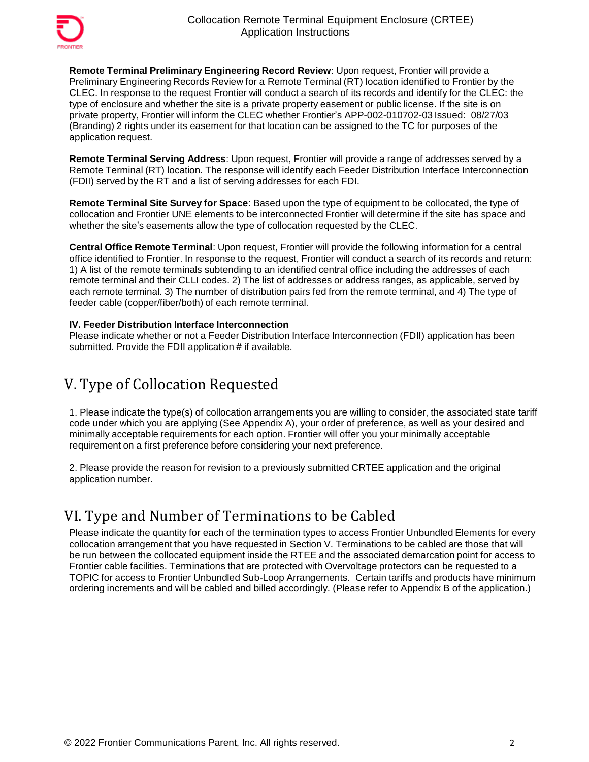

**Remote Terminal Preliminary Engineering Record Review**: Upon request, Frontier will provide a Preliminary Engineering Records Review for a Remote Terminal (RT) location identified to Frontier by the CLEC. In response to the request Frontier will conduct a search of its records and identify for the CLEC: the type of enclosure and whether the site is a private property easement or public license. If the site is on private property, Frontier will inform the CLEC whether Frontier's APP-002-010702-03 Issued: 08/27/03 (Branding) 2 rights under its easement for that location can be assigned to the TC for purposes of the application request.

**Remote Terminal Serving Address**: Upon request, Frontier will provide a range of addresses served by a Remote Terminal (RT) location. The response will identify each Feeder Distribution Interface Interconnection (FDII) served by the RT and a list of serving addresses for each FDI.

**Remote Terminal Site Surveyfor Space**: Based upon the type of equipment to be collocated, the type of collocation and Frontier UNE elements to be interconnected Frontier will determine if the site has space and whether the site's easements allow the type of collocation requested by the CLEC.

**Central Office Remote Terminal**: Upon request, Frontier will provide the following information for a central office identified to Frontier. In response to the request, Frontier will conduct a search of its records and return: 1) A list of the remote terminals subtending to an identified central office including the addresses of each remote terminal and their CLLI codes. 2) The list of addresses or address ranges, as applicable, served by each remote terminal. 3) The number of distribution pairs fed from the remote terminal, and 4) The type of feeder cable (copper/fiber/both) of each remote terminal.

#### **IV. Feeder Distribution Interface Interconnection**

Please indicate whether or not a Feeder Distribution Interface Interconnection(FDII) application has been submitted. Provide the FDII application # if available.

## V. Type of Collocation Requested

1. Please indicate the type(s) of collocation arrangements you are willing to consider, the associated state tariff code under which you are applying (See Appendix A), your order of preference, as well as your desired and minimally acceptable requirements for each option. Frontier will offer you your minimally acceptable requirement on a first preference before considering your next preference.

2. Please provide the reason for revision to a previously submitted CRTEE application and the original application number.

## VI. Type and Number of Terminations to be Cabled

Please indicate the quantity for each of the termination types to access Frontier Unbundled Elements for every collocation arrangement that you have requested in Section V. Terminations to be cabled are those that will be run between the collocated equipment inside the RTEE and the associated demarcation point for access to Frontier cable facilities. Terminations that are protected with Overvoltage protectors can be requested to a TOPIC for access to Frontier Unbundled Sub-Loop Arrangements. Certain tariffs and products have minimum ordering increments and will be cabled and billed accordingly. (Please refer to Appendix B of the application.)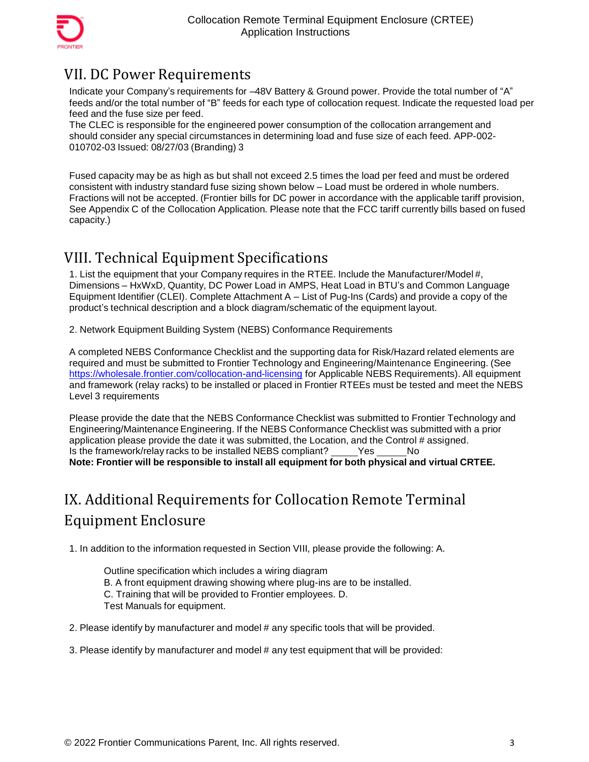

# VII. DC Power Requirements

Indicate your Company's requirements for –48V Battery & Ground power. Provide the total number of "A" feeds and/or the total number of "B" feeds for each type of collocation request. Indicate the requested load per feed and the fuse size per feed.

The CLEC is responsible for the engineered power consumption of the collocation arrangement and should consider any special circumstances in determining load and fuse size of each feed. APP-002- 010702-03 Issued: 08/27/03 (Branding) 3

Fused capacity may be as high as but shall not exceed 2.5 times the load per feed and must be ordered consistent with industry standard fuse sizing shown below – Load must be ordered in whole numbers. Fractions will not be accepted. (Frontier bills for DC power in accordance with the applicable tariff provision, See Appendix C of the Collocation Application. Please note that the FCC tariff currently bills based on fused capacity.)

## VIII. Technical Equipment Specifications

1. List the equipment that your Company requires in the RTEE. Include the Manufacturer/Model#, Dimensions – HxWxD, Quantity, DC Power Load in AMPS, Heat Load in BTU's and Common Language Equipment Identifier (CLEI). Complete Attachment A – List of Pug-Ins (Cards) and provide a copy of the product's technical description and a block diagram/schematicof the equipment layout.

2. Network Equipment Building System (NEBS) Conformance Requirements

A completed NEBS Conformance Checklist and the supporting data for Risk/Hazard related elements are required and must be submitted to Frontier Technology and Engineering/Maintenance Engineering. (See <https://wholesale.frontier.com/collocation-and-licensing> for Applicable NEBS Requirements). All equipment and framework (relay racks) to be installed or placed in Frontier RTEEs must be tested and meet the NEBS Level 3 requirements

Please provide the date that the NEBS Conformance Checklist was submitted to Frontier Technology and Engineering/MaintenanceEngineering. If the NEBS Conformance Checklist was submitted with a prior application please provide the date it was submitted, the Location, and the Control # assigned. Is the framework/relay racks to be installed NEBS compliant? Yes No **Note: Frontier will be responsible to install all equipment for both physical and virtual CRTEE.**

# IX. Additional Requirements for Collocation Remote Terminal Equipment Enclosure

1. In addition to the information requested in Section VIII, please provide the following: A.

Outline specification which includes a wiring diagram B. A front equipment drawing showing where plug-ins are to be installed. C. Training that will be provided to Frontier employees. D. Test Manuals for equipment.

2. Please identify by manufacturer and model # any specific tools that will be provided.

3. Please identify by manufacturer and model # any test equipment that will be provided: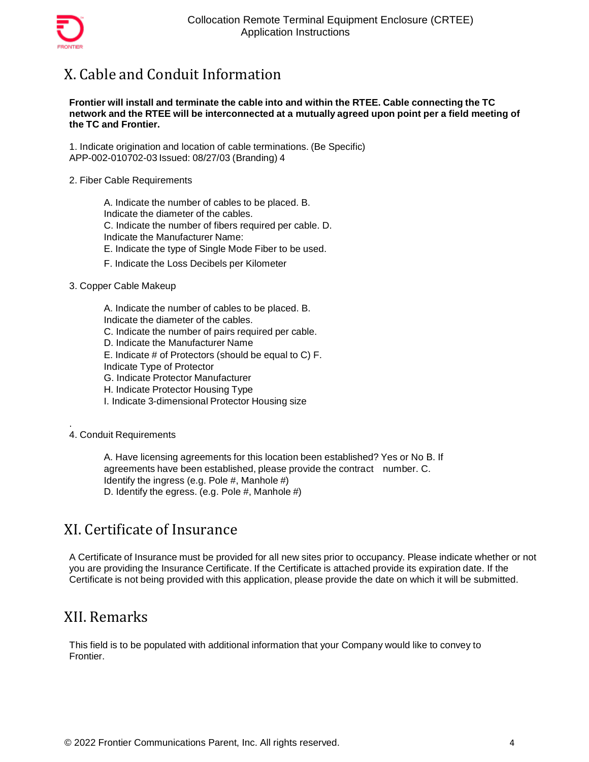

# X. Cable and Conduit Information

#### **Frontier will install and terminate the cable into and within the RTEE. Cable connecting the TC network and the RTEE will be interconnected at a mutuallyagreed upon point per a field meeting of the TC and Frontier.**

1. Indicate origination and location of cable terminations. (Be Specific) APP-002-010702-03Issued: 08/27/03 (Branding) 4

2. Fiber Cable Requirements

A. Indicate the number of cables to be placed. B. Indicate the diameter of the cables. C. Indicate the number of fibers required per cable. D. Indicate the Manufacturer Name: E. Indicate the type of Single Mode Fiber to be used.

- F. Indicate the Loss Decibels per Kilometer
- 3. Copper Cable Makeup

A. Indicate the number of cables to be placed. B.

Indicate the diameter of the cables.

- C. Indicate the number of pairs required per cable.
- D. Indicate the Manufacturer Name
- E. Indicate # of Protectors (should be equal to C) F.

Indicate Type of Protector

G. Indicate Protector Manufacturer

H. Indicate Protector Housing Type

I. Indicate 3-dimensional Protector Housing size

. 4. Conduit Requirements

> A. Have licensing agreements for this location been established? Yes or No B. If agreements have been established, please provide the contract number. C. Identify the ingress (e.g. Pole #, Manhole #) D. Identify the egress. (e.g. Pole #, Manhole #)

### XI. Certificate of Insurance

A Certificate of Insurance must be provided for all new sites prior to occupancy. Please indicate whether or not you are providing the Insurance Certificate. If the Certificate is attached provide its expiration date. If the Certificate is not being provided with this application, please provide the date on which it will be submitted.

### XII. Remarks

This field is to be populated with additional information that your Company would like to convey to Frontier.